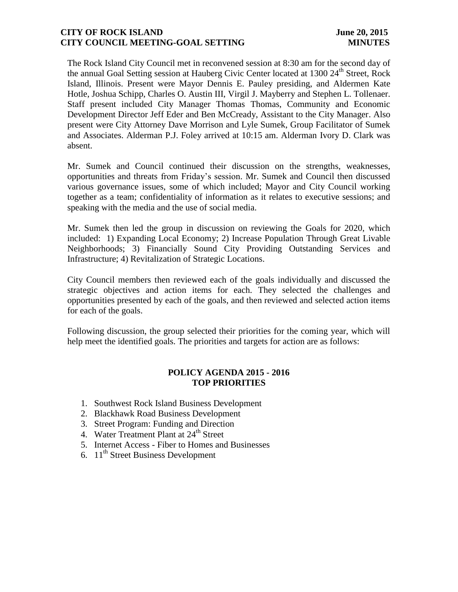## **CITY OF ROCK ISLAND** June 20, 2015 **CITY COUNCIL MEETING-GOAL SETTING MINUTES**

The Rock Island City Council met in reconvened session at 8:30 am for the second day of the annual Goal Setting session at Hauberg Civic Center located at 1300 24<sup>th</sup> Street, Rock Island, Illinois. Present were Mayor Dennis E. Pauley presiding, and Aldermen Kate Hotle, Joshua Schipp, Charles O. Austin III, Virgil J. Mayberry and Stephen L. Tollenaer. Staff present included City Manager Thomas Thomas, Community and Economic Development Director Jeff Eder and Ben McCready, Assistant to the City Manager. Also present were City Attorney Dave Morrison and Lyle Sumek, Group Facilitator of Sumek and Associates. Alderman P.J. Foley arrived at 10:15 am. Alderman Ivory D. Clark was absent.

Mr. Sumek and Council continued their discussion on the strengths, weaknesses, opportunities and threats from Friday's session. Mr. Sumek and Council then discussed various governance issues, some of which included; Mayor and City Council working together as a team; confidentiality of information as it relates to executive sessions; and speaking with the media and the use of social media.

Mr. Sumek then led the group in discussion on reviewing the Goals for 2020, which included: 1) Expanding Local Economy; 2) Increase Population Through Great Livable Neighborhoods; 3) Financially Sound City Providing Outstanding Services and Infrastructure; 4) Revitalization of Strategic Locations.

City Council members then reviewed each of the goals individually and discussed the strategic objectives and action items for each. They selected the challenges and opportunities presented by each of the goals, and then reviewed and selected action items for each of the goals.

Following discussion, the group selected their priorities for the coming year, which will help meet the identified goals. The priorities and targets for action are as follows:

# **POLICY AGENDA 2015 - 2016 TOP PRIORITIES**

- 1. Southwest Rock Island Business Development
- 2. Blackhawk Road Business Development
- 3. Street Program: Funding and Direction
- 4. Water Treatment Plant at 24<sup>th</sup> Street
- 5. Internet Access Fiber to Homes and Businesses
- 6.  $11<sup>th</sup>$  Street Business Development